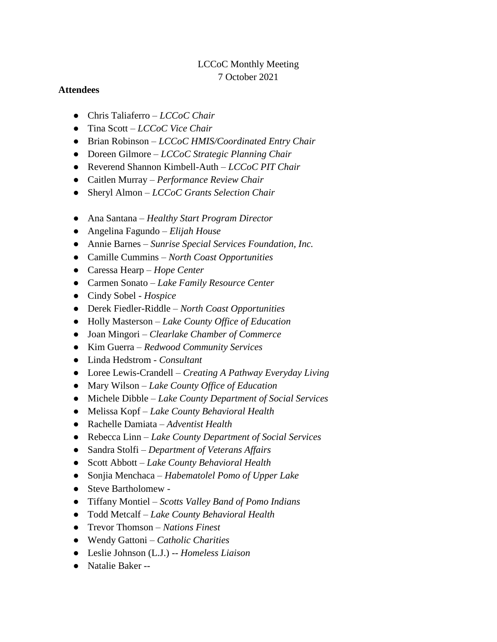# LCCoC Monthly Meeting 7 October 2021

### **Attendees**

- Chris Taliaferro *LCCoC Chair*
- Tina Scott *LCCoC Vice Chair*
- Brian Robinson *LCCoC HMIS/Coordinated Entry Chair*
- Doreen Gilmore *LCCoC Strategic Planning Chair*
- Reverend Shannon Kimbell-Auth *LCCoC PIT Chair*
- Caitlen Murray *Performance Review Chair*
- Sheryl Almon *LCCoC Grants Selection Chair*
- Ana Santana *Healthy Start Program Director*
- Angelina Fagundo *Elijah House*
- Annie Barnes *Sunrise Special Services Foundation, Inc.*
- Camille Cummins *North Coast Opportunities*
- Caressa Hearp *Hope Center*
- Carmen Sonato *Lake Family Resource Center*
- Cindy Sobel *Hospice*
- Derek Fiedler-Riddle *North Coast Opportunities*
- Holly Masterson *Lake County Office of Education*
- Joan Mingori *Clearlake Chamber of Commerce*
- Kim Guerra *Redwood Community Services*
- Linda Hedstrom *Consultant*
- Loree Lewis-Crandell *Creating A Pathway Everyday Living*
- Mary Wilson *Lake County Office of Education*
- Michele Dibble *Lake County Department of Social Services*
- Melissa Kopf *Lake County Behavioral Health*
- Rachelle Damiata *Adventist Health*
- Rebecca Linn *Lake County Department of Social Services*
- Sandra Stolfi *Department of Veterans Affairs*
- Scott Abbott *Lake County Behavioral Health*
- Sonjia Menchaca *Habematolel Pomo of Upper Lake*
- Steve Bartholomew -
- Tiffany Montiel *Scotts Valley Band of Pomo Indians*
- Todd Metcalf *Lake County Behavioral Health*
- Trevor Thomson *Nations Finest*
- Wendy Gattoni *Catholic Charities*
- Leslie Johnson (L.J.) -- *Homeless Liaison*
- Natalie Baker --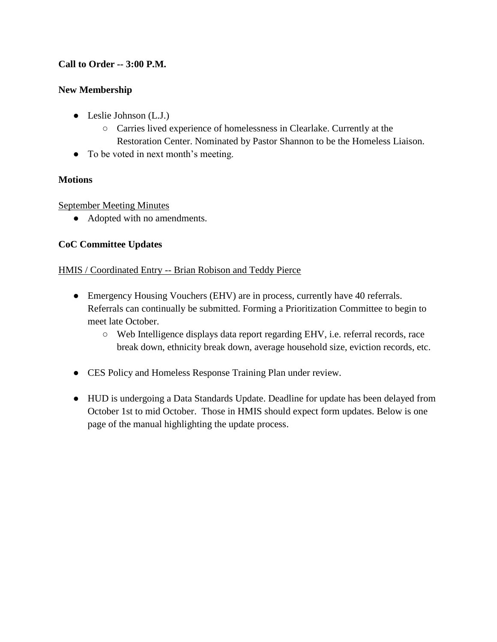# **Call to Order -- 3:00 P.M.**

## **New Membership**

- Leslie Johnson (L.J.)
	- Carries lived experience of homelessness in Clearlake. Currently at the Restoration Center. Nominated by Pastor Shannon to be the Homeless Liaison.
- To be voted in next month's meeting.

## **Motions**

## September Meeting Minutes

• Adopted with no amendments.

## **CoC Committee Updates**

## HMIS / Coordinated Entry -- Brian Robison and Teddy Pierce

- Emergency Housing Vouchers (EHV) are in process, currently have 40 referrals. Referrals can continually be submitted. Forming a Prioritization Committee to begin to meet late October.
	- Web Intelligence displays data report regarding EHV, i.e. referral records, race break down, ethnicity break down, average household size, eviction records, etc.
- CES Policy and Homeless Response Training Plan under review.
- HUD is undergoing a Data Standards Update. Deadline for update has been delayed from October 1st to mid October. Those in HMIS should expect form updates. Below is one page of the manual highlighting the update process.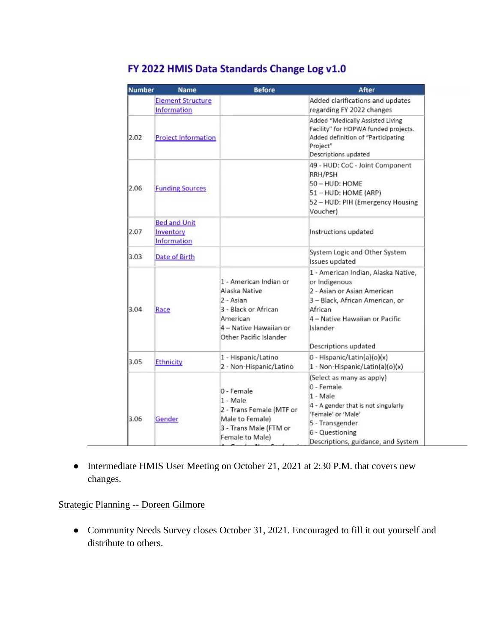| <b>Number</b> | <b>Name</b>                                     | <b>Before</b>                                                                                                                                       | After                                                                                                                                                                                                   |
|---------------|-------------------------------------------------|-----------------------------------------------------------------------------------------------------------------------------------------------------|---------------------------------------------------------------------------------------------------------------------------------------------------------------------------------------------------------|
|               | <b>Element Structure</b><br>Information         |                                                                                                                                                     | Added clarifications and updates<br>regarding FY 2022 changes                                                                                                                                           |
| 2.02          | <b>Project Information</b>                      |                                                                                                                                                     | Added "Medically Assisted Living<br>Facility" for HOPWA funded projects.<br>Added definition of "Participating<br>Project"<br>Descriptions updated                                                      |
| 2.06          | <b>Funding Sources</b>                          |                                                                                                                                                     | 49 - HUD: CoC - Joint Component<br>RRH/PSH<br>50 - HUD: HOME<br>51 - HUD: HOME (ARP)<br>52 - HUD: PIH (Emergency Housing<br>Voucher)                                                                    |
| 2.07          | <b>Bed and Unit</b><br>Inventory<br>Information |                                                                                                                                                     | Instructions updated                                                                                                                                                                                    |
| 3.03          | Date of Birth                                   |                                                                                                                                                     | System Logic and Other System<br>Issues updated                                                                                                                                                         |
| 3.04          | Race                                            | 1 - American Indian or<br>Alaska Native<br>2 - Asian<br>3 - Black or African<br><b>American</b><br>4 - Native Hawaiian or<br>Other Pacific Islander | 1 - American Indian, Alaska Native,<br>or Indigenous<br>2 - Asian or Asian American<br>3 - Black, African American, or<br>African<br>4 - Native Hawaiian or Pacific<br>Islander<br>Descriptions updated |
| 3.05          | Ethnicity                                       | 1 - Hispanic/Latino<br>2 - Non-Hispanic/Latino                                                                                                      | 0 - Hispanic/Latin(a)(o)(x)<br>1 - Non-Hispanic/Latin(a)(o)(x)                                                                                                                                          |
| 3.06          | Gender                                          | 0 - Female<br>1 - Male<br>2 - Trans Female (MTF or<br>Male to Female)<br>3 - Trans Male (FTM or<br>Female to Male)                                  | (Select as many as apply)<br>0 - Female<br>1 - Male<br>4 - A gender that is not singularly<br>'Female' or 'Male'<br>5 - Transgender<br>6 - Questioning<br>Descriptions, guidance, and System            |

# FY 2022 HMIS Data Standards Change Log v1.0

● Intermediate HMIS User Meeting on October 21, 2021 at 2:30 P.M. that covers new changes.

## Strategic Planning -- Doreen Gilmore

● Community Needs Survey closes October 31, 2021. Encouraged to fill it out yourself and distribute to others.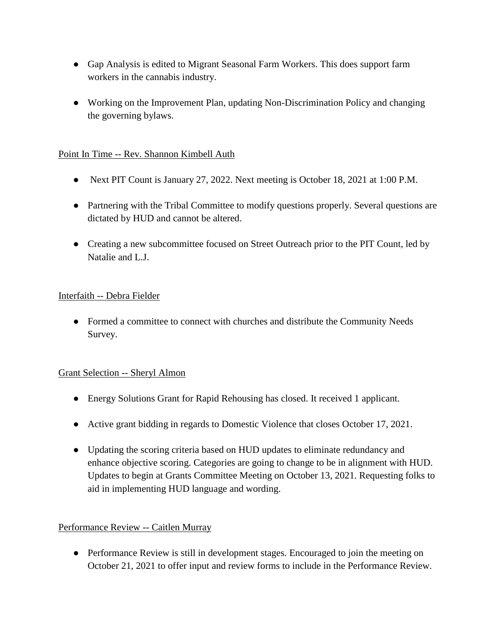- Gap Analysis is edited to Migrant Seasonal Farm Workers. This does support farm workers in the cannabis industry.
- Working on the Improvement Plan, updating Non-Discrimination Policy and changing the governing bylaws.

## Point In Time -- Rev. Shannon Kimbell Auth

- Next PIT Count is January 27, 2022. Next meeting is October 18, 2021 at 1:00 P.M.
- Partnering with the Tribal Committee to modify questions properly. Several questions are dictated by HUD and cannot be altered.
- Creating a new subcommittee focused on Street Outreach prior to the PIT Count, led by Natalie and L.J.

## Interfaith -- Debra Fielder

• Formed a committee to connect with churches and distribute the Community Needs Survey.

## Grant Selection -- Sheryl Almon

- Energy Solutions Grant for Rapid Rehousing has closed. It received 1 applicant.
- Active grant bidding in regards to Domestic Violence that closes October 17, 2021.
- Updating the scoring criteria based on HUD updates to eliminate redundancy and enhance objective scoring. Categories are going to change to be in alignment with HUD. Updates to begin at Grants Committee Meeting on October 13, 2021. Requesting folks to aid in implementing HUD language and wording.

## Performance Review -- Caitlen Murray

• Performance Review is still in development stages. Encouraged to join the meeting on October 21, 2021 to offer input and review forms to include in the Performance Review.